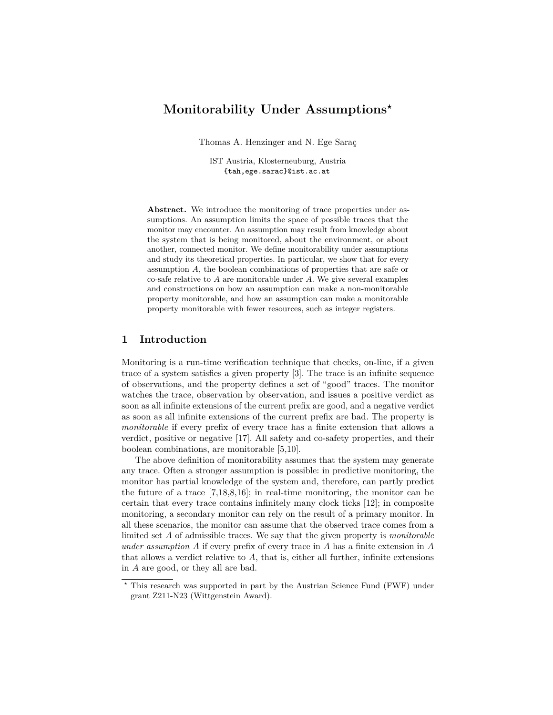# **Monitorability Under Assumptions***?*

Thomas A. Henzinger and N. Ege Saraç

IST Austria, Klosterneuburg, Austria {tah,ege.sarac}@ist.ac.at

Abstract. We introduce the monitoring of trace properties under assumptions. An assumption limits the space of possible traces that the monitor may encounter. An assumption may result from knowledge about the system that is being monitored, about the environment, or about another, connected monitor. We define monitorability under assumptions and study its theoretical properties. In particular, we show that for every assumption *A*, the boolean combinations of properties that are safe or co-safe relative to *A* are monitorable under *A*. We give several examples and constructions on how an assumption can make a non-monitorable property monitorable, and how an assumption can make a monitorable property monitorable with fewer resources, such as integer registers.

### **1 Introduction**

Monitoring is a run-time verification technique that checks, on-line, if a given trace of a system satisfies a given property [\[3\]](#page-14-0). The trace is an infinite sequence of observations, and the property defines a set of "good" traces. The monitor watches the trace, observation by observation, and issues a positive verdict as soon as all infinite extensions of the current prefix are good, and a negative verdict as soon as all infinite extensions of the current prefix are bad. The property is *monitorable* if every prefix of every trace has a finite extension that allows a verdict, positive or negative [\[17\]](#page-15-0). All safety and co-safety properties, and their boolean combinations, are monitorable [\[5,](#page-14-1)[10\]](#page-15-1).

The above definition of monitorability assumes that the system may generate any trace. Often a stronger assumption is possible: in predictive monitoring, the monitor has partial knowledge of the system and, therefore, can partly predict the future of a trace [\[7,](#page-15-2)[18,](#page-15-3)[8](#page-15-4)[,16\]](#page-15-5); in real-time monitoring, the monitor can be certain that every trace contains infinitely many clock ticks [\[12\]](#page-15-6); in composite monitoring, a secondary monitor can rely on the result of a primary monitor. In all these scenarios, the monitor can assume that the observed trace comes from a limited set *A* of admissible traces. We say that the given property is *monitorable under assumption A* if every prefix of every trace in *A* has a finite extension in *A* that allows a verdict relative to *A*, that is, either all further, infinite extensions in *A* are good, or they all are bad.

*<sup>?</sup>* This research was supported in part by the Austrian Science Fund (FWF) under grant Z211-N23 (Wittgenstein Award).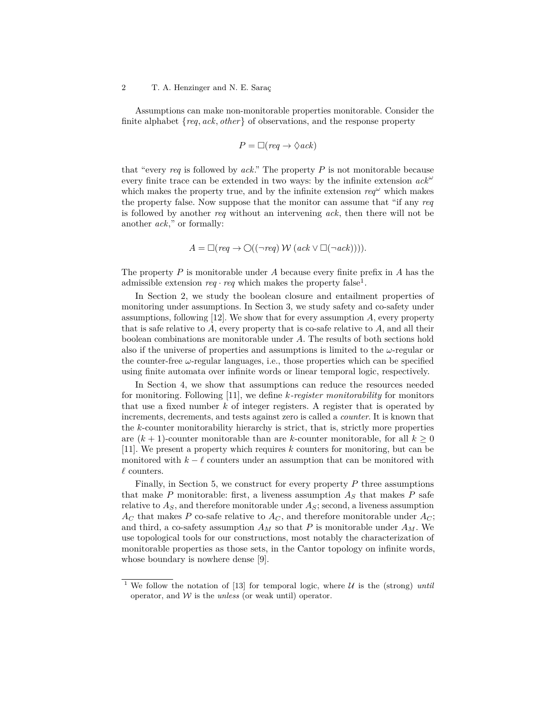Assumptions can make non-monitorable properties monitorable. Consider the finite alphabet {*req, ack, other*} of observations, and the response property

$$
P = \Box (req \rightarrow \Diamond ack)
$$

that "every *req* is followed by *ack*." The property *P* is not monitorable because every finite trace can be extended in two ways: by the infinite extension *ack<sup>ω</sup>* which makes the property true, and by the infinite extension  $req^{\omega}$  which makes the property false. Now suppose that the monitor can assume that "if any *req* is followed by another *req* without an intervening *ack*, then there will not be another *ack*," or formally:

$$
A = \Box (req \rightarrow \bigcirc ((\neg req) \mathcal{W} (ack \vee \Box (\neg ack))).
$$

The property *P* is monitorable under *A* because every finite prefix in *A* has the admissible extension  $req \cdot req$  which makes the property false<sup>[1](#page-1-0)</sup>.

In Section [2,](#page-2-0) we study the boolean closure and entailment properties of monitoring under assumptions. In Section [3,](#page-6-0) we study safety and co-safety under assumptions, following [\[12\]](#page-15-6). We show that for every assumption *A*, every property that is safe relative to *A*, every property that is co-safe relative to *A*, and all their boolean combinations are monitorable under *A*. The results of both sections hold also if the universe of properties and assumptions is limited to the *ω*-regular or the counter-free *ω*-regular languages, i.e., those properties which can be specified using finite automata over infinite words or linear temporal logic, respectively.

In Section [4,](#page-9-0) we show that assumptions can reduce the resources needed for monitoring. Following [\[11\]](#page-15-7), we define *k-register monitorability* for monitors that use a fixed number *k* of integer registers. A register that is operated by increments, decrements, and tests against zero is called a *counter*. It is known that the *k*-counter monitorability hierarchy is strict, that is, strictly more properties are  $(k+1)$ -counter monitorable than are *k*-counter monitorable, for all  $k > 0$ [\[11\]](#page-15-7). We present a property which requires *k* counters for monitoring, but can be monitored with  $k - \ell$  counters under an assumption that can be monitored with  $\ell$  counters.

Finally, in Section [5,](#page-11-0) we construct for every property *P* three assumptions that make *P* monitorable: first, a liveness assumption  $A<sub>S</sub>$  that makes *P* safe relative to *AS*, and therefore monitorable under *AS*; second, a liveness assumption  $A_C$  that makes *P* co-safe relative to  $A_C$ , and therefore monitorable under  $A_C$ ; and third, a co-safety assumption  $A_M$  so that P is monitorable under  $A_M$ . We use topological tools for our constructions, most notably the characterization of monitorable properties as those sets, in the Cantor topology on infinite words, whose boundary is nowhere dense [\[9\]](#page-15-8).

<span id="page-1-0"></span><sup>&</sup>lt;sup>1</sup> We follow the notation of [\[13\]](#page-15-9) for temporal logic, where  $U$  is the (strong) *until* operator, and W is the *unless* (or weak until) operator.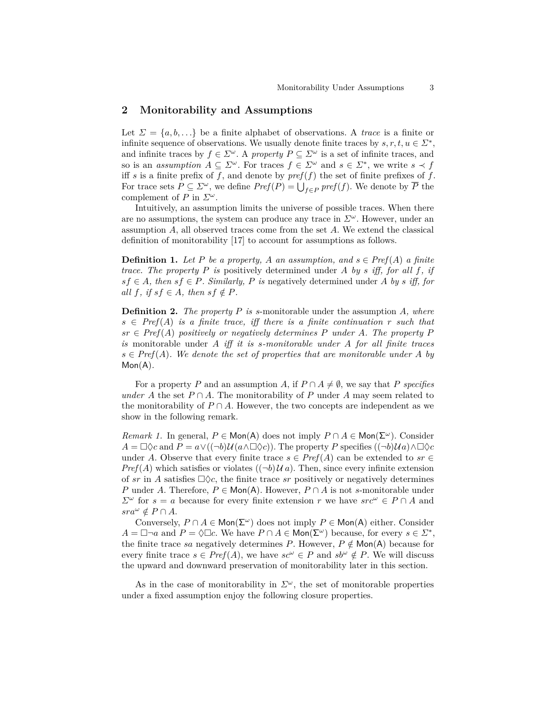# <span id="page-2-0"></span>**2 Monitorability and Assumptions**

Let  $\Sigma = \{a, b, \ldots\}$  be a finite alphabet of observations. A *trace* is a finite or infinite sequence of observations. We usually denote finite traces by  $s, r, t, u \in \Sigma^*$ , and infinite traces by  $f \in \Sigma^\omega$ . A *property*  $P \subseteq \Sigma^\omega$  is a set of infinite traces, and so is an *assumption*  $A \subseteq \Sigma^\omega$ . For traces  $f \in \Sigma^\omega$  and  $s \in \Sigma^*$ , we write  $s \prec f$ iff *s* is a finite prefix of  $f$ , and denote by  $pref(f)$  the set of finite prefixes of  $f$ . For trace sets  $P \subseteq \Sigma^\omega$ , we define  $Pref(P) = \bigcup_{f \in P} pref(f)$ . We denote by  $\overline{P}$  the complement of *P* in *Σω*.

Intuitively, an assumption limits the universe of possible traces. When there are no assumptions, the system can produce any trace in *Σω*. However, under an assumption *A*, all observed traces come from the set *A*. We extend the classical definition of monitorability [\[17\]](#page-15-0) to account for assumptions as follows.

**Definition 1.** Let P be a property, A an assumption, and  $s \in Pref(A)$  a finite *trace. The property P is* positively determined under *A by s iff, for all f, if*  $sf \in A$ *, then*  $sf \in P$ *. Similarly, P is* negatively determined under *A by s iff, for all*  $f$ *,* if  $sf \in A$ *, then*  $sf \notin P$ *.* 

**Definition 2.** *The property P is s*-monitorable under the assumption *A, where*  $s \in Pref(A)$  *is a finite trace, iff there is a finite continuation r such that*  $sr \in Pref(A)$  *positively or negatively determines P under A. The property P is* monitorable under *A iff it is s-monitorable under A for all finite traces*  $s \in Pref(A)$ *. We denote the set of properties that are monitorable under* A by Mon(A)*.*

For a property *P* and an assumption *A*, if  $P \cap A \neq \emptyset$ , we say that *P* specifies *under A* the set  $P \cap A$ . The monitorability of *P* under *A* may seem related to the monitorability of  $P \cap A$ . However, the two concepts are independent as we show in the following remark.

*Remark 1.* In general,  $P \in \text{Mon}(A)$  does not imply  $P \cap A \in \text{Mon}(\Sigma^{\omega})$ . Consider  $A = \Box \Diamond c$  and  $P = a \lor ((\neg b) \mathcal{U} (a \land \Box \Diamond c))$ . The property *P* specifies  $((\neg b) \mathcal{U} a) \land \Box \Diamond c$ under *A*. Observe that every finite trace  $s \in Pref(A)$  can be extended to  $sr \in$ *Pref*(*A*) which satisfies or violates  $((\neg b) \mathcal{U} a)$ . Then, since every infinite extension of *sr* in *A* satisfies  $\Box \Diamond c$ , the finite trace *sr* positively or negatively determines *P* under *A*. Therefore,  $P \in \text{Mon}(A)$ . However,  $P \cap A$  is not *s*-monitorable under *Σ*<sup>*ω*</sup> for *s* = *a* because for every finite extension *r* we have *src*<sup>*ω*</sup> ∈ *P* ∩ *A* and  $sra^{\omega} \notin P \cap A$ .

Conversely,  $P \cap A \in \text{Mon}(\Sigma^{\omega})$  does not imply  $P \in \text{Mon}(A)$  either. Consider  $A = \Box \neg a$  and  $P = \Diamond \Box c$ . We have  $P \cap A \in \text{Mon}(\Sigma^{\omega})$  because, for every  $s \in \Sigma^*$ , the finite trace *sa* negatively determines *P*. However,  $P \notin \mathsf{Mon}(\mathsf{A})$  because for every finite trace  $s \in Pref(A)$ , we have  $sc^{\omega} \in P$  and  $sb^{\omega} \notin P$ . We will discuss the upward and downward preservation of monitorability later in this section.

<span id="page-2-1"></span>As in the case of monitorability in  $\Sigma^{\omega}$ , the set of monitorable properties under a fixed assumption enjoy the following closure properties.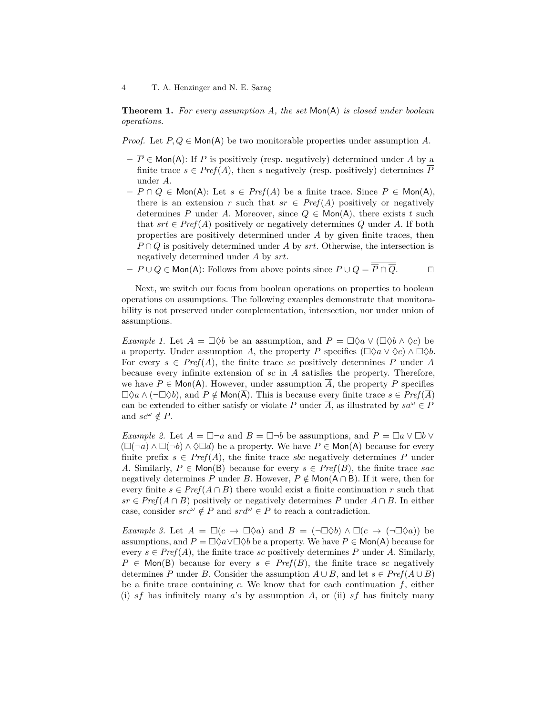**Theorem 1.** *For every assumption A, the set* Mon(A) *is closed under boolean operations.*

*Proof.* Let  $P, Q \in \text{Mon}(A)$  be two monitorable properties under assumption A.

- **–** *P* ∈ Mon(A): If *P* is positively (resp. negatively) determined under *A* by a finite trace  $s \in Pref(A)$ , then *s* negatively (resp. positively) determines  $\overline{P}$ under *A*.
- **–** *P* ∩ *Q* ∈ Mon(A): Let *s* ∈ *Pref*(*A*) be a finite trace. Since *P* ∈ Mon(A), there is an extension *r* such that  $sr \in Pref(A)$  positively or negatively determines *P* under *A*. Moreover, since  $Q \in \text{Mon}(A)$ , there exists *t* such that  $srt \in Pref(A)$  positively or negatively determines *Q* under *A*. If both properties are positively determined under *A* by given finite traces, then *P* ∩ *Q* is positively determined under *A* by *srt*. Otherwise, the intersection is negatively determined under *A* by *srt*.
- $-P \cup Q \in \textsf{Mon}(A)$ **: Follows from above points since**  $P \cup Q = \overline{P \cap Q}$ **.** □

Next, we switch our focus from boolean operations on properties to boolean operations on assumptions. The following examples demonstrate that monitorability is not preserved under complementation, intersection, nor under union of assumptions.

*Example 1.* Let  $A = \Box \Diamond b$  be an assumption, and  $P = \Box \Diamond a \vee (\Box \Diamond b \wedge \Diamond c)$  be a property. Under assumption *A*, the property *P* specifies  $(\Box \Diamond a \lor \Diamond c) \land \Box \Diamond b$ . For every  $s \in Pref(A)$ , the finite trace *sc* positively determines P under A because every infinite extension of *sc* in *A* satisfies the property. Therefore, we have  $P \in \text{Mon}(A)$ . However, under assumption  $\overline{A}$ , the property P specifies  $\Box$  $\Diamond$ *a* ∧ ( $\neg \Box$  $\Diamond$ *b*), and *P* ∉ Mon( $\overline{A}$ ). This is because every finite trace *s* ∈ *Pref*( $\overline{A}$ ) can be extended to either satisfy or violate P under  $\overline{A}$ , as illustrated by  $sa^{\omega} \in P$ and  $sc^{\omega} \notin P$ .

*Example 2.* Let  $A = \Box \neg a$  and  $B = \Box \neg b$  be assumptions, and  $P = \Box a \vee \Box b \vee$  $(\Box(\neg a) \land \Box(\neg b) \land \Diamond \Box d)$  be a property. We have *P* ∈ Mon(A) because for every finite prefix  $s \in Pref(A)$ , the finite trace *sbc* negatively determines P under *A*. Similarly,  $P \in \text{Mon}(B)$  because for every  $s \in \text{Pref}(B)$ , the finite trace *sac* negatively determines *P* under *B*. However,  $P \notin \mathsf{Mon}(\mathsf{A} \cap \mathsf{B})$ . If it were, then for every finite  $s \in Pref(A \cap B)$  there would exist a finite continuation r such that  $sr \in Pref(A \cap B)$  positively or negatively determines *P* under  $A \cap B$ . In either case, consider  $src^{\omega} \notin P$  and  $srd^{\omega} \in P$  to reach a contradiction.

<span id="page-3-0"></span>*Example 3.* Let  $A = \Box(c \rightarrow \Box \Diamond a)$  and  $B = (\neg \Box \Diamond b) \land \Box(c \rightarrow (\neg \Box \Diamond a))$  be assumptions, and  $P = \Box \Diamond a \lor \Box \Diamond b$  be a property. We have  $P \in \mathsf{Mon}(A)$  because for every  $s \in Pref(A)$ , the finite trace *sc* positively determines P under A. Similarly, *P* ∈ Mon(B) because for every  $s \text{ ∈ } Pref(B)$ , the finite trace  $sc$  negatively determines P under *B*. Consider the assumption  $A \cup B$ , and let  $s \in Pref(A \cup B)$ be a finite trace containing *c*. We know that for each continuation *f*, either (i) *sf* has infinitely many *a*'s by assumption *A*, or (ii) *sf* has finitely many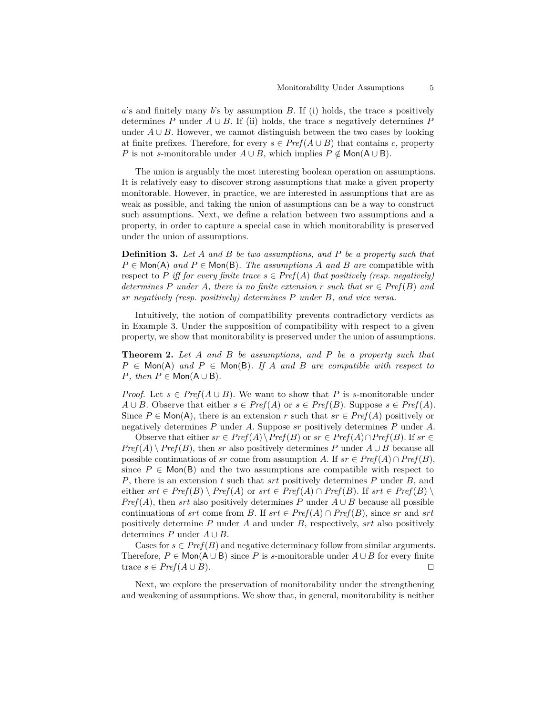*a*'s and finitely many *b*'s by assumption *B*. If (i) holds, the trace *s* positively determines *P* under  $A \cup B$ . If (ii) holds, the trace *s* negatively determines *P* under  $A \cup B$ . However, we cannot distinguish between the two cases by looking at finite prefixes. Therefore, for every  $s \in Pref(A \cup B)$  that contains *c*, property *P* is not *s*-monitorable under  $A \cup B$ , which implies  $P \notin \textsf{Mon}(A \cup B)$ .

The union is arguably the most interesting boolean operation on assumptions. It is relatively easy to discover strong assumptions that make a given property monitorable. However, in practice, we are interested in assumptions that are as weak as possible, and taking the union of assumptions can be a way to construct such assumptions. Next, we define a relation between two assumptions and a property, in order to capture a special case in which monitorability is preserved under the union of assumptions.

**Definition 3.** *Let A and B be two assumptions, and P be a property such that*  $P \in \text{Mon}(A)$  *and*  $P \in \text{Mon}(B)$ *. The assumptions A and B are* compatible with respect to P iff for every finite trace  $s \in Pref(A)$  that positively (resp. negatively) *determines P under A, there is no finite extension r such that*  $sr \in Pref(B)$  *and sr negatively (resp. positively) determines P under B, and vice versa.*

Intuitively, the notion of compatibility prevents contradictory verdicts as in Example [3.](#page-3-0) Under the supposition of compatibility with respect to a given property, we show that monitorability is preserved under the union of assumptions.

**Theorem 2.** *Let A and B be assumptions, and P be a property such that*  $P \in \text{Mon}(A)$  *and*  $P \in \text{Mon}(B)$ *. If A and B are compatible with respect to P, then*  $P \in \textsf{Mon}(A \cup B)$ *.* 

*Proof.* Let  $s \in Pref(A \cup B)$ . We want to show that *P* is *s*-monitorable under *A* ∪ *B*. Observe that either  $s \in Pref(A)$  or  $s \in Pref(B)$ . Suppose  $s \in Pref(A)$ . Since  $P \in \text{Mon}(A)$ , there is an extension *r* such that  $sr \in Pref(A)$  positively or negatively determines *P* under *A*. Suppose *sr* positively determines *P* under *A*.

Observe that either  $sr \in Pref(A) \setminus Pref(B)$  or  $sr \in Pref(A) \cap Pref(B)$ . If  $sr \in$  $Pref(A) \ Pref(B)$ , then *sr* also positively determines *P* under  $A \cup B$  because all possible continuations of *sr* come from assumption *A*. If  $sr \in Pref(A) \cap Pref(B)$ , since  $P \in \text{Mon}(B)$  and the two assumptions are compatible with respect to *P*, there is an extension *t* such that *srt* positively determines *P* under *B*, and either  $srt \in Pref(B) \setminus Pref(A)$  or  $srt \in Pref(A) \cap Pref(B)$ . If  $srt \in Pref(B) \setminus$ *Pref*(*A*), then *srt* also positively determines *P* under  $A \cup B$  because all possible continuations of *srt* come from *B*. If  $srt \in Pref(A) \cap Pref(B)$ , since *sr* and *srt* positively determine *P* under *A* and under *B*, respectively, *srt* also positively determines *P* under  $A \cup B$ .

Cases for  $s \in Pref(B)$  and negative determinacy follow from similar arguments. Therefore,  $P \in \text{Mon}(A \cup B)$  since P is *s*-monitorable under  $A \cup B$  for every finite trace  $s \in Pref(A \cup B)$ . □

Next, we explore the preservation of monitorability under the strengthening and weakening of assumptions. We show that, in general, monitorability is neither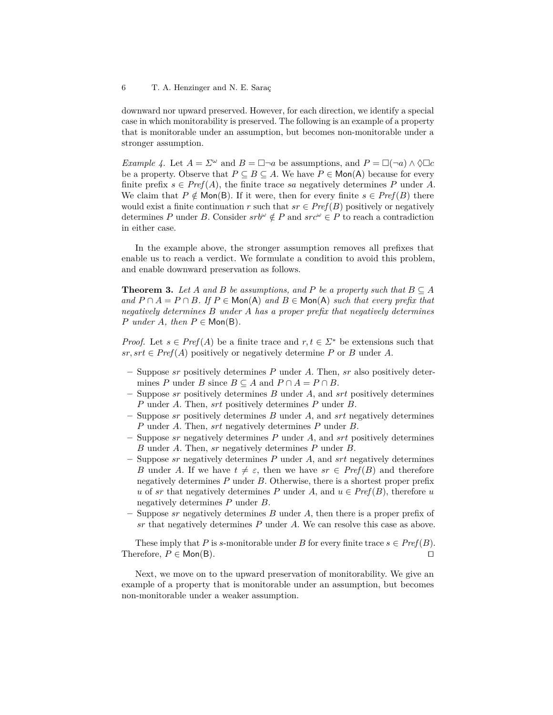downward nor upward preserved. However, for each direction, we identify a special case in which monitorability is preserved. The following is an example of a property that is monitorable under an assumption, but becomes non-monitorable under a stronger assumption.

*Example 4.* Let  $A = \Sigma^{\omega}$  and  $B = \square \neg a$  be assumptions, and  $P = \square(\neg a) \wedge \Diamond \square c$ be a property. Observe that  $P \subseteq B \subseteq A$ . We have  $P \in \text{Mon}(A)$  because for every finite prefix  $s \in Pref(A)$ , the finite trace *sa* negatively determines P under A. We claim that  $P \notin \text{Mon}(B)$ . If it were, then for every finite  $s \in Pref(B)$  there would exist a finite continuation *r* such that  $sr \in Pref(B)$  positively or negatively determines P under B. Consider  $srb^{\omega} \notin P$  and  $src^{\omega} \in P$  to reach a contradiction in either case.

In the example above, the stronger assumption removes all prefixes that enable us to reach a verdict. We formulate a condition to avoid this problem, and enable downward preservation as follows.

**Theorem 3.** Let *A* and *B* be assumptions, and *P* be a property such that  $B \subseteq A$ *and*  $P \cap A = P \cap B$ *. If*  $P \in \text{Mon}(A)$  *and*  $B \in \text{Mon}(A)$  *such that every prefix that negatively determines B under A has a proper prefix that negatively determines P under A, then*  $P \in \textsf{Mon}(B)$ *.* 

*Proof.* Let  $s \in Pref(A)$  be a finite trace and  $r, t \in \Sigma^*$  be extensions such that  $sr, srt \in Pref(A)$  positively or negatively determine *P* or *B* under *A*.

- **–** Suppose *sr* positively determines *P* under *A*. Then, *sr* also positively determines *P* under *B* since  $B \subseteq A$  and  $P \cap A = P \cap B$ .
- **–** Suppose *sr* positively determines *B* under *A*, and *srt* positively determines *P* under *A*. Then, *srt* positively determines *P* under *B*.
- **–** Suppose *sr* positively determines *B* under *A*, and *srt* negatively determines *P* under *A*. Then, *srt* negatively determines *P* under *B*.
- **–** Suppose *sr* negatively determines *P* under *A*, and *srt* positively determines *B* under *A*. Then, *sr* negatively determines *P* under *B*.
- **–** Suppose *sr* negatively determines *P* under *A*, and *srt* negatively determines *B* under *A*. If we have  $t \neq \varepsilon$ , then we have  $sr \in Pref(B)$  and therefore negatively determines *P* under *B*. Otherwise, there is a shortest proper prefix *u* of *sr* that negatively determines *P* under *A*, and  $u \in Pref(B)$ , therefore *u* negatively determines *P* under *B*.
- **–** Suppose *sr* negatively determines *B* under *A*, then there is a proper prefix of *sr* that negatively determines *P* under *A*. We can resolve this case as above.

These imply that *P* is *s*-monitorable under *B* for every finite trace  $s \in Pref(B)$ . Therefore,  $P \in \mathsf{Mon}(\mathsf{B})$ .

Next, we move on to the upward preservation of monitorability. We give an example of a property that is monitorable under an assumption, but becomes non-monitorable under a weaker assumption.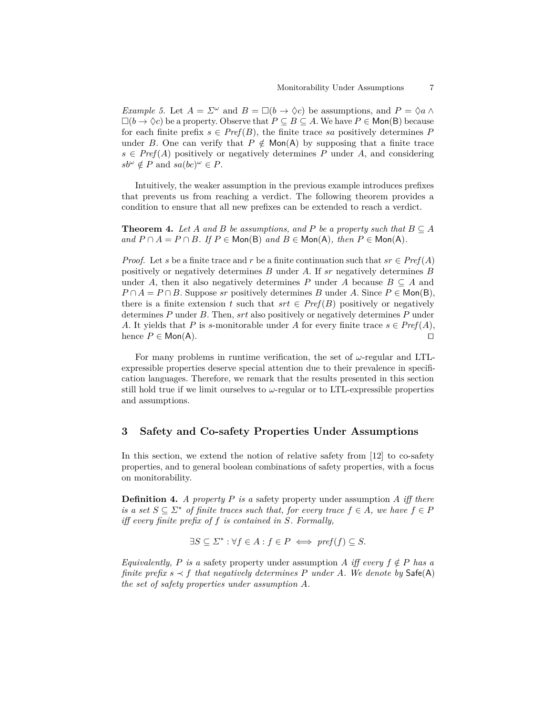*Example 5.* Let  $A = \Sigma^{\omega}$  and  $B = \square(b \rightarrow \Diamond c)$  be assumptions, and  $P = \Diamond a \land a$  $\Box(b \to \Diamond c)$  be a property. Observe that  $P \subseteq B \subseteq A$ . We have  $P \in \mathsf{Mon}(B)$  because for each finite prefix  $s \in Pref(B)$ , the finite trace *sa* positively determines P under *B*. One can verify that  $P \notin \text{Mon}(A)$  by supposing that a finite trace  $s \in Pref(A)$  positively or negatively determines *P* under *A*, and considering  $sb^{\omega} \notin P$  and  $sa(bc)^{\omega} \in P$ .

Intuitively, the weaker assumption in the previous example introduces prefixes that prevents us from reaching a verdict. The following theorem provides a condition to ensure that all new prefixes can be extended to reach a verdict.

<span id="page-6-1"></span>**Theorem 4.** Let *A* and *B* be assumptions, and *P* be a property such that  $B \subseteq A$ *and*  $P \cap A = P \cap B$ *. If*  $P \in \text{Mon}(B)$  *and*  $B \in \text{Mon}(A)$ *, then*  $P \in \text{Mon}(A)$ *.* 

*Proof.* Let *s* be a finite trace and *r* be a finite continuation such that  $sr \in Pref(A)$ positively or negatively determines *B* under *A*. If *sr* negatively determines *B* under *A*, then it also negatively determines *P* under *A* because  $B \subseteq A$  and  $P \cap A = P \cap B$ . Suppose *sr* positively determines *B* under *A*. Since  $P \in \textsf{Mon}(B)$ , there is a finite extension *t* such that  $srt \in Pref(B)$  positively or negatively determines *P* under *B*. Then, *srt* also positively or negatively determines *P* under *A*. It yields that *P* is *s*-monitorable under *A* for every finite trace  $s \in Pref(A)$ , hence  $P \in \textsf{Mon}(A)$ .

For many problems in runtime verification, the set of *ω*-regular and LTLexpressible properties deserve special attention due to their prevalence in specification languages. Therefore, we remark that the results presented in this section still hold true if we limit ourselves to  $\omega$ -regular or to LTL-expressible properties and assumptions.

### <span id="page-6-0"></span>**3 Safety and Co-safety Properties Under Assumptions**

In this section, we extend the notion of relative safety from [\[12\]](#page-15-6) to co-safety properties, and to general boolean combinations of safety properties, with a focus on monitorability.

**Definition 4.** *A property P is a* safety property under assumption *A iff there is a set*  $S \subseteq \Sigma^*$  *of finite traces such that, for every trace*  $f \in A$ *, we have*  $f \in P$ *iff every finite prefix of f is contained in S. Formally,*

$$
\exists S \subseteq \Sigma^* : \forall f \in A : f \in P \iff pref(f) \subseteq S.
$$

*Equivalently, P is a* safety property under assumption *A iff every*  $f \notin P$  *has a finite prefix*  $s \prec f$  *that negatively determines P under A. We denote by*  $\text{Safe}(A)$ *the set of safety properties under assumption A.*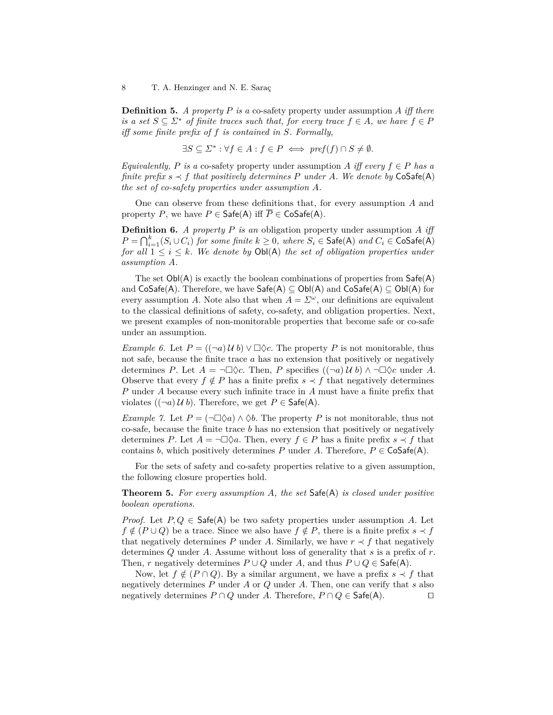**Definition 5.** *A property P is a* co-safety property under assumption *A iff there is a set*  $S \subseteq \Sigma^*$  *of finite traces such that, for every trace*  $f \in A$ *, we have*  $f \in P$ *iff some finite prefix of f is contained in S. Formally,*

$$
\exists S \subseteq \Sigma^* : \forall f \in A : f \in P \iff pref(f) \cap S \neq \emptyset.
$$

*Equivalently, P is a* co-safety property under assumption *A iff every*  $f \in P$  *has a finite prefix*  $s \prec f$  *that positively determines P under A. We denote by*  $\text{CoSafe}(A)$ *the set of co-safety properties under assumption A.*

One can observe from these definitions that, for every assumption *A* and property *P*, we have  $P \in \mathsf{Safe}(A)$  iff  $\overline{P} \in \mathsf{CoSafe}(A)$ .

**Definition 6.** *A property P is an* obligation property under assumption *A iff P* =  $\bigcap_{i=1}^{k} (S_i \cup C_i)$  *for some finite*  $k ≥ 0$ *, where*  $S_i ∈$  Safe(A) *and*  $C_i ∈$  CoSafe(A) *for all*  $1 \leq i \leq k$ *. We denote by*  $\text{Obl}(A)$  *the set of obligation properties under assumption A.*

The set  $Ob(A)$  is exactly the boolean combinations of properties from  $Safe(A)$ and  $CoSafe(A)$ . Therefore, we have  $Safe(A) \subseteq Obl(A)$  and  $CoSafe(A) \subseteq Obl(A)$  for every assumption *A*. Note also that when  $A = \Sigma^{\omega}$ , our definitions are equivalent to the classical definitions of safety, co-safety, and obligation properties. Next, we present examples of non-monitorable properties that become safe or co-safe under an assumption.

*Example 6.* Let  $P = ((\neg a) \mathcal{U} b) \lor \Box \Diamond c$ . The property P is not monitorable, thus not safe, because the finite trace *a* has no extension that positively or negatively determines *P*. Let  $A = \neg \Box \Diamond c$ . Then, *P* specifies  $((\neg a) \mathcal{U} b) \land \neg \Box \Diamond c$  under *A*. Observe that every  $f \notin P$  has a finite prefix  $s \prec f$  that negatively determines *P* under *A* because every such infinite trace in *A* must have a finite prefix that violates  $((\neg a) \mathcal{U} b)$ . Therefore, we get  $P \in \mathsf{Safe}(A)$ .

*Example 7.* Let  $P = (\neg \Box \Diamond a) \land \Diamond b$ . The property P is not monitorable, thus not co-safe, because the finite trace *b* has no extension that positively or negatively determines *P*. Let  $A = \neg \Box \Diamond a$ . Then, every  $f \in P$  has a finite prefix  $s \prec f$  that contains *b*, which positively determines *P* under *A*. Therefore,  $P \in \mathsf{CoSafe}(A)$ .

For the sets of safety and co-safety properties relative to a given assumption, the following closure properties hold.

<span id="page-7-0"></span>**Theorem 5.** *For every assumption A, the set* Safe(A) *is closed under positive boolean operations.*

*Proof.* Let  $P, Q \in \mathsf{Safe}(A)$  be two safety properties under assumption A. Let  $f \notin (P \cup Q)$  be a trace. Since we also have  $f \notin P$ , there is a finite prefix  $s \prec f$ that negatively determines *P* under *A*. Similarly, we have  $r \prec f$  that negatively determines *Q* under *A*. Assume without loss of generality that *s* is a prefix of *r*. Then, *r* negatively determines  $P \cup Q$  under A, and thus  $P \cup Q \in \mathsf{Safe}(A)$ .

<span id="page-7-1"></span>Now, let  $f \notin (P \cap Q)$ . By a similar argument, we have a prefix  $s \prec f$  that negatively determines *P* under *A* or *Q* under *A*. Then, one can verify that *s* also negatively determines  $P \cap Q$  under *A*. Therefore,  $P \cap Q \in \mathsf{Safe}(\mathsf{A})$ .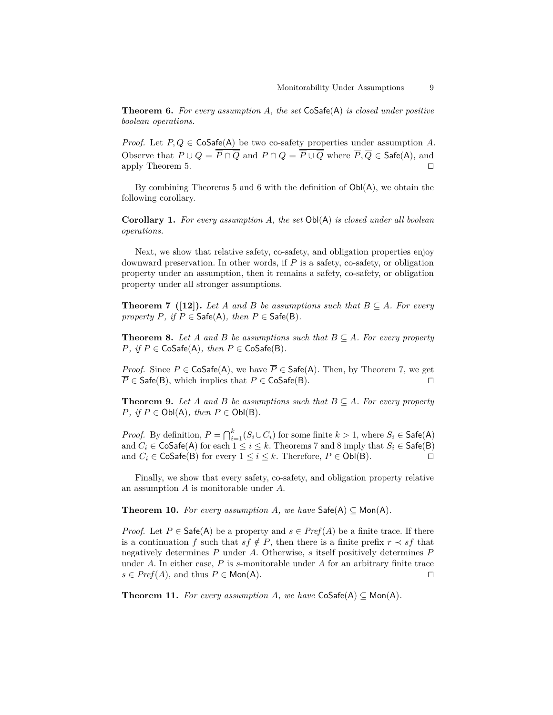**Theorem 6.** *For every assumption A, the set* CoSafe(A) *is closed under positive boolean operations.*

*Proof.* Let  $P, Q \in \mathsf{CoSafe}(A)$  be two co-safety properties under assumption A. Observe that  $P \cup Q = \overline{P} \cap \overline{Q}$  and  $P \cap Q = \overline{P} \cup \overline{Q}$  where  $\overline{P}, \overline{Q} \in \mathsf{Safe}(A)$ , and apply Theorem [5.](#page-7-0)  $\Box$ 

By combining Theorems [5](#page-7-0) and [6](#page-7-1) with the definition of  $Ob(A)$ , we obtain the following corollary.

**Corollary 1.** *For every assumption A, the set* Obl(A) *is closed under all boolean operations.*

Next, we show that relative safety, co-safety, and obligation properties enjoy downward preservation. In other words, if *P* is a safety, co-safety, or obligation property under an assumption, then it remains a safety, co-safety, or obligation property under all stronger assumptions.

<span id="page-8-0"></span>**Theorem 7** ([\[12\]](#page-15-6)). Let *A* and *B* be assumptions such that  $B \subseteq A$ *. For every property P, if*  $P \in \mathsf{Safe}(A)$ *, then*  $P \in \mathsf{Safe}(B)$ *.* 

<span id="page-8-1"></span>**Theorem 8.** Let *A* and *B* be assumptions such that  $B \subseteq A$ . For every property *P, if*  $P \in \mathsf{CoSafe}(A)$ *, then*  $P \in \mathsf{CoSafe}(B)$ *.* 

*Proof.* Since  $P \in \mathsf{CoSafe}(A)$ , we have  $\overline{P} \in \mathsf{Safe}(A)$ . Then, by Theorem [7,](#page-8-0) we get  $\overline{P} \in \mathsf{Safe}(\mathsf{B})$ , which implies that  $P \in \mathsf{CoSafe}(\mathsf{B})$ .

**Theorem 9.** Let *A* and *B* be assumptions such that  $B \subseteq A$ . For every property *P, if*  $P \in Ob(A)$ *, then*  $P \in Ob(B)$ *.* 

*Proof.* By definition,  $P = \bigcap_{i=1}^{k} (S_i \cup C_i)$  for some finite  $k > 1$ , where  $S_i \in \mathsf{Safe}(A)$ and  $C_i \in \mathsf{CoSafe}(A)$  for each  $1 \leq i \leq k$ . Theorems [7](#page-8-0) and [8](#page-8-1) imply that  $S_i \in \mathsf{Safe}(B)$ and  $C_i \in \mathsf{CoSafe}(B)$  for every  $1 \leq i \leq k$ . Therefore,  $P \in \mathsf{Obl}(B)$ .

Finally, we show that every safety, co-safety, and obligation property relative an assumption *A* is monitorable under *A*.

<span id="page-8-2"></span>**Theorem 10.** For every assumption A, we have  $\mathsf{Safe}(A) \subseteq \mathsf{Mon}(A)$ .

*Proof.* Let  $P \in \mathsf{Safe}(A)$  be a property and  $s \in Pref(A)$  be a finite trace. If there is a continuation *f* such that  $sf \notin P$ , then there is a finite prefix  $r \prec sf$  that negatively determines *P* under *A*. Otherwise, *s* itself positively determines *P* under *A*. In either case, *P* is *s*-monitorable under *A* for an arbitrary finite trace  $s \in Pref(A)$ , and thus  $P \in \text{Mon}(A)$ .

<span id="page-8-3"></span>**Theorem 11.** For every assumption A, we have  $\mathsf{CoSafe}(A) \subset \mathsf{Mon}(A)$ .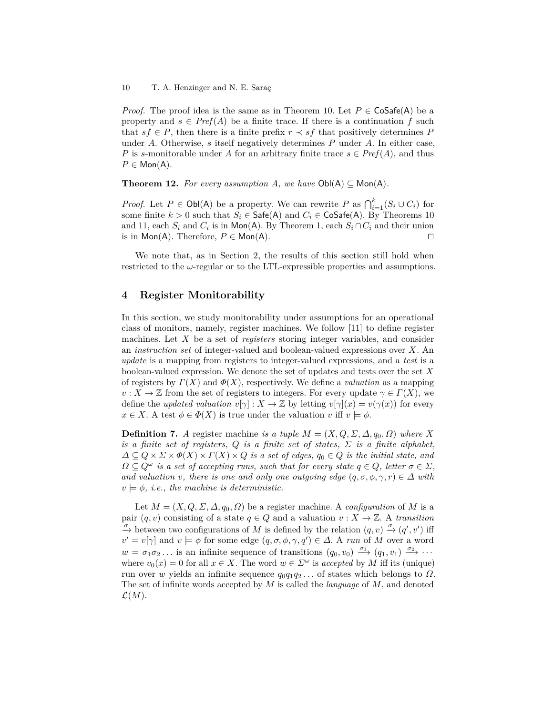*Proof.* The proof idea is the same as in Theorem [10.](#page-8-2) Let  $P \in \mathsf{CoSafe}(A)$  be a property and  $s \in Pref(A)$  be a finite trace. If there is a continuation f such that  $sf \in P$ , then there is a finite prefix  $r \prec sf$  that positively determines P under *A*. Otherwise, *s* itself negatively determines *P* under *A*. In either case, *P* is *s*-monitorable under *A* for an arbitrary finite trace  $s \in Pref(A)$ , and thus  $P \in \mathsf{Mon}(A)$ .

**Theorem 12.** For every assumption A, we have  $Ob(A) \subseteq Mon(A)$ .

*Proof.* Let  $P \in \text{Obl}(A)$  be a property. We can rewrite  $P$  as  $\bigcap_{i=1}^{k} (S_i \cup C_i)$  for some finite  $k > 0$  such that  $S_i \in \mathsf{Safe}(A)$  and  $C_i \in \mathsf{CoSafe}(A)$ . By Theorems [10](#page-8-2) and [11,](#page-8-3) each  $S_i$  and  $C_i$  is in Mon(A). By Theorem [1,](#page-2-1) each  $S_i \cap C_i$  and their union is in Mon(A). Therefore,  $P \in \text{Mon}(A)$ .

We note that, as in Section [2,](#page-2-0) the results of this section still hold when restricted to the *ω*-regular or to the LTL-expressible properties and assumptions.

### <span id="page-9-0"></span>**4 Register Monitorability**

In this section, we study monitorability under assumptions for an operational class of monitors, namely, register machines. We follow [\[11\]](#page-15-7) to define register machines. Let *X* be a set of *registers* storing integer variables, and consider an *instruction set* of integer-valued and boolean-valued expressions over *X*. An *update* is a mapping from registers to integer-valued expressions, and a *test* is a boolean-valued expression. We denote the set of updates and tests over the set *X* of registers by  $\Gamma(X)$  and  $\Phi(X)$ , respectively. We define a *valuation* as a mapping  $v: X \to \mathbb{Z}$  from the set of registers to integers. For every update  $\gamma \in \Gamma(X)$ , we define the *updated valuation*  $v[\gamma] : X \to \mathbb{Z}$  by letting  $v[\gamma](x) = v(\gamma(x))$  for every  $x \in X$ . A test  $\phi \in \Phi(X)$  is true under the valuation *v* iff  $v \models \phi$ .

**Definition 7.** *A* register machine *is a tuple*  $M = (X, Q, \Sigma, \Delta, q_0, \Omega)$  *where X is a finite set of registers, Q is a finite set of states, Σ is a finite alphabet,*  $\Delta \subseteq Q \times \Sigma \times \Phi(X) \times \Gamma(X) \times Q$  *is a set of edges,*  $q_0 \in Q$  *is the initial state, and*  $\Omega \subseteq Q^{\omega}$  *is a set of accepting runs, such that for every state*  $q \in Q$ *, letter*  $\sigma \in \Sigma$ *, and valuation v*, there is one and only one outgoing edge  $(q, \sigma, \phi, \gamma, r) \in \Delta$  with  $v \models \phi$ , *i.e.*, the machine is deterministic.

Let  $M = (X, Q, \Sigma, \Delta, q_0, \Omega)$  be a register machine. A *configuration* of M is a pair  $(q, v)$  consisting of a state  $q \in Q$  and a valuation  $v : X \to \mathbb{Z}$ . A *transition*  $\frac{\sigma}{\sigma}$  between two configurations of *M* is defined by the relation  $(q, v) \stackrel{\sigma}{\rightarrow} (q', v')$  iff  $v' = v[\gamma]$  and  $v \models \phi$  for some edge  $(q, \sigma, \phi, \gamma, q') \in \Delta$ . A *run* of *M* over a word  $w = \sigma_1 \sigma_2 \dots$  is an infinite sequence of transitions  $(q_0, v_0) \xrightarrow{\sigma_1} (q_1, v_1) \xrightarrow{\sigma_2} \cdots$ where  $v_0(x) = 0$  for all  $x \in X$ . The word  $w \in \Sigma^\omega$  is *accepted* by M iff its (unique) run over *w* yields an infinite sequence  $q_0q_1q_2...$  of states which belongs to  $\Omega$ . The set of infinite words accepted by *M* is called the *language* of *M*, and denoted  $\mathcal{L}(M)$ .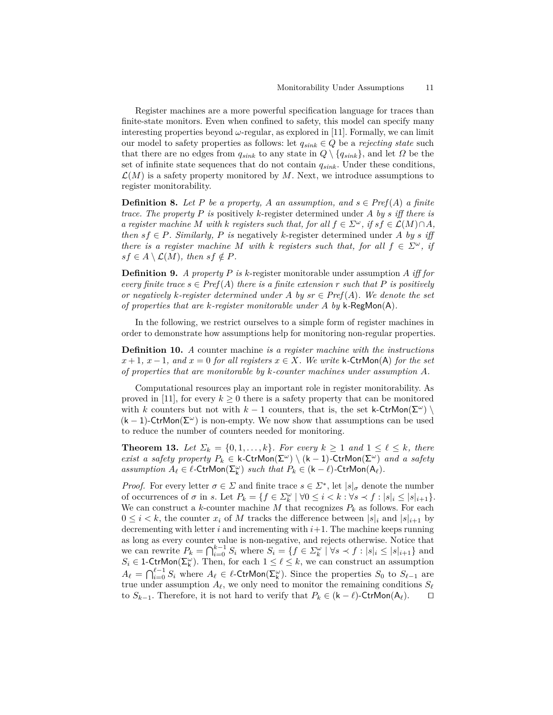Register machines are a more powerful specification language for traces than finite-state monitors. Even when confined to safety, this model can specify many interesting properties beyond  $\omega$ -regular, as explored in [\[11\]](#page-15-7). Formally, we can limit our model to safety properties as follows: let  $q_{sink} \in Q$  be a *rejecting state* such that there are no edges from  $q_{sink}$  to any state in  $Q \setminus \{q_{sink}\}\$ , and let  $\Omega$  be the set of infinite state sequences that do not contain *qsink*. Under these conditions,  $\mathcal{L}(M)$  is a safety property monitored by M. Next, we introduce assumptions to register monitorability.

**Definition 8.** Let P be a property, A an assumption, and  $s \in Pref(A)$  a finite *trace. The property P is* positively *k*-register determined under *A by s iff there is a register machine M with k registers such that, for all*  $f \in \Sigma^\omega$ , *if*  $sf \in \mathcal{L}(M) \cap A$ , *then*  $sf \in P$ *. Similarly, P is* negatively *k*-register determined under *A by s iff there is a register machine M with k registers such that, for all*  $f \in \Sigma^\omega$ , *if*  $sf \in A \setminus \mathcal{L}(M)$ , then  $sf \notin P$ .

**Definition 9.** *A property P is k*-register monitorable under assumption *A iff for*  $every$  *finite trace*  $s \in Pref(A)$  *there is a finite extension*  $r$  *such that*  $P$  *is positively or negatively k*-register determined under A by  $sr \in Pref(A)$ . We denote the set *of properties that are k-register monitorable under A by* k*-*RegMon(A)*.*

In the following, we restrict ourselves to a simple form of register machines in order to demonstrate how assumptions help for monitoring non-regular properties.

**Definition 10.** *A* counter machine *is a register machine with the instructions*  $x + 1$ ,  $x - 1$ , and  $x = 0$  for all registers  $x \in X$ . We write **k**-CtrMon(A) for the set *of properties that are monitorable by k-counter machines under assumption A.*

Computational resources play an important role in register monitorability. As proved in [\[11\]](#page-15-7), for every  $k \geq 0$  there is a safety property that can be monitored with *k* counters but not with  $k-1$  counters, that is, the set k-CtrMon( $\Sigma^{\omega}$ ) \  $(k-1)$ -CtrMon( $\Sigma^{\omega}$ ) is non-empty. We now show that assumptions can be used to reduce the number of counters needed for monitoring.

**Theorem 13.** *Let*  $\Sigma_k = \{0, 1, \ldots, k\}$ *. For every*  $k \geq 1$  *and*  $1 \leq \ell \leq k$ *, there exist a safety property*  $P_k \in k$ -CtrMon $(\Sigma^\omega) \setminus (k-1)$ -CtrMon $(\Sigma^\omega)$  *and a safety*  $assumption\ A_{\ell} \in \ell$ -CtrMon( $\Sigma_{\kappa}^{\omega}$ )  $such\ that\ P_{k} \in (\mathsf{k} - \ell)$ -CtrMon( $\mathsf{A}_{\ell}$ ).

*Proof.* For every letter  $\sigma \in \Sigma$  and finite trace  $s \in \Sigma^*$ , let  $|s|_{\sigma}$  denote the number of occurrences of  $\sigma$  in *s*. Let  $P_k = \{f \in \Sigma_k^{\omega} \mid \forall 0 \leq i < k : \forall s \prec f : |s|_i \leq |s|_{i+1}\}.$ We can construct a  $k$ -counter machine  $M$  that recognizes  $P_k$  as follows. For each  $0 \leq i \leq k$ , the counter  $x_i$  of M tracks the difference between  $|s|_i$  and  $|s|_{i+1}$  by decrementing with letter  $i$  and incrementing with  $i+1$ . The machine keeps running as long as every counter value is non-negative, and rejects otherwise. Notice that we can rewrite  $P_k = \bigcap_{i=0}^{k-1} S_i$  where  $S_i = \{f \in \Sigma_k^{\omega} \mid \forall s \prec f : |s|_i \leq |s|_{i+1}\}\$ and  $S_i \in 1$ -CtrMon( $\Sigma_k^{\omega}$ ). Then, for each  $1 \leq \ell \leq k$ , we can construct an assumption  $A_{\ell} = \bigcap_{i=0}^{\ell-1} S_i$  where  $A_{\ell} \in \ell$ -CtrMon( $\Sigma_{\mathsf{k}}^{\omega}$ ). Since the properties  $S_0$  to  $S_{\ell-1}$  are true under assumption  $A_\ell$ , we only need to monitor the remaining conditions  $S_\ell$ to  $S_{k-1}$ . Therefore, it is not hard to verify that  $P_k \in (k - \ell)$ -CtrMon(A $_{\ell}$ ). □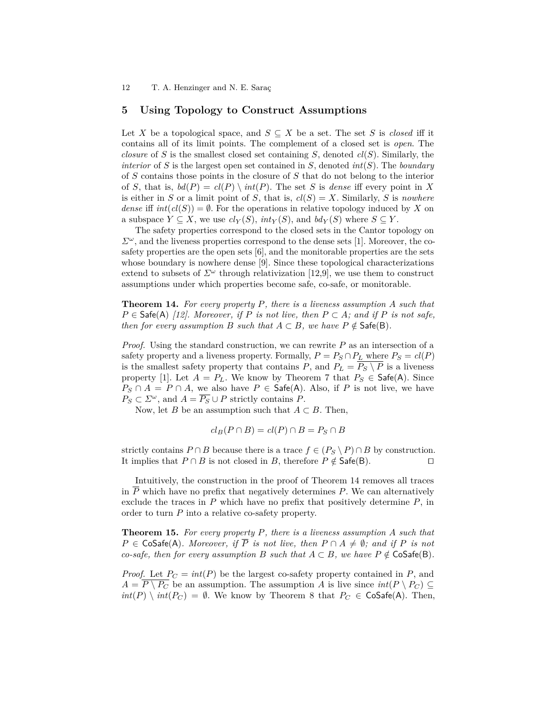### <span id="page-11-0"></span>**5 Using Topology to Construct Assumptions**

Let *X* be a topological space, and  $S \subseteq X$  be a set. The set *S* is *closed* iff it contains all of its limit points. The complement of a closed set is *open*. The *closure* of *S* is the smallest closed set containing *S*, denoted *cl*(*S*). Similarly, the *interior* of *S* is the largest open set contained in *S*, denoted *int*(*S*). The *boundary* of *S* contains those points in the closure of *S* that do not belong to the interior of *S*, that is,  $bd(P) = cl(P) \setminus int(P)$ . The set *S* is *dense* iff every point in *X* is either in *S* or a limit point of *S*, that is,  $cl(S) = X$ . Similarly, *S* is *nowhere dense* iff  $int(cl(S)) = \emptyset$ . For the operations in relative topology induced by *X* on a subspace  $Y \subseteq X$ , we use  $cl_Y(S)$ ,  $int_Y(S)$ , and  $bd_Y(S)$  where  $S \subseteq Y$ .

The safety properties correspond to the closed sets in the Cantor topology on *Σω*, and the liveness properties correspond to the dense sets [\[1\]](#page-14-2). Moreover, the cosafety properties are the open sets [\[6\]](#page-14-3), and the monitorable properties are the sets whose boundary is nowhere dense [\[9\]](#page-15-8). Since these topological characterizations extend to subsets of  $\Sigma^{\omega}$  through relativization [\[12,](#page-15-6)[9\]](#page-15-8), we use them to construct assumptions under which properties become safe, co-safe, or monitorable.

<span id="page-11-1"></span>**Theorem 14.** *For every property P, there is a liveness assumption A such that*  $P \in \mathsf{Safe}(A)$  [\[12\]](#page-15-6)*.* Moreover, if P is not live, then  $P \subset A$ ; and if P is not safe. *then for every assumption B such that*  $A \subset B$ *, we have*  $P \notin \mathsf{Safe}(B)$ *.* 

*Proof.* Using the standard construction, we can rewrite *P* as an intersection of a safety property and a liveness property. Formally,  $P = P_S \cap P_L$  where  $P_S = cl(P)$ is the smallest safety property that contains *P*, and  $P_L = \overline{P_S \setminus P}$  is a liveness property [\[1\]](#page-14-2). Let  $A = P_L$ . We know by Theorem [7](#page-8-0) that  $P_S \in \mathsf{Safe}(A)$ . Since  $P_S \cap A = P \cap A$ , we also have  $P \in \mathsf{Safe}(A)$ . Also, if *P* is not live, we have  $P_S \subset \Sigma^\omega$ , and  $A = \overline{P_S} \cup P$  strictly contains *P*.

Now, let *B* be an assumption such that  $A \subset B$ . Then,

$$
cl_B(P \cap B) = cl(P) \cap B = P_S \cap B
$$

strictly contains  $P \cap B$  because there is a trace  $f \in (P_S \setminus P) \cap B$  by construction. It implies that *P* ∩ *B* is not closed in *B*, therefore  $P \notin \mathsf{Safe}(\mathsf{B})$ .  $\Box$ 

Intuitively, the construction in the proof of Theorem [14](#page-11-1) removes all traces in  $\overline{P}$  which have no prefix that negatively determines  $P$ . We can alternatively exclude the traces in *P* which have no prefix that positively determine *P*, in order to turn *P* into a relative co-safety property.

<span id="page-11-2"></span>**Theorem 15.** *For every property P, there is a liveness assumption A such that*  $P \in \mathsf{CoSafe}(A)$ *. Moreover, if*  $\overline{P}$  *is not live, then*  $P \cap A \neq \emptyset$ *; and if*  $P$  *is not co-safe, then for every assumption B such that*  $A \subset B$ *, we have*  $P \notin \mathsf{CoSafe}(B)$ *.* 

*Proof.* Let  $P_C = int(P)$  be the largest co-safety property contained in *P*, and  $A = P \setminus P_C$  be an assumption. The assumption *A* is live since  $int(P \setminus P_C) \subseteq$  $int(P) \setminus int(P_C) = \emptyset$ . We know by Theorem [8](#page-8-1) that  $P_C \in \mathsf{CoSafe}(A)$ . Then,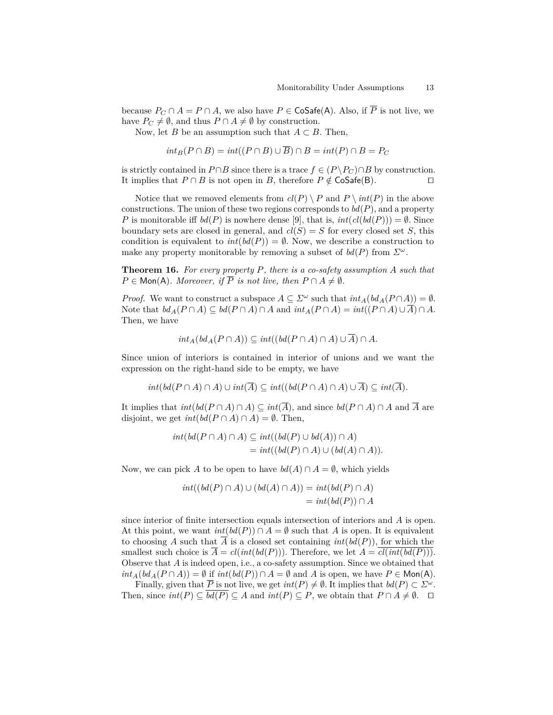because  $P_C \cap A = P \cap A$ , we also have  $P \in \mathsf{CoSafe}(A)$ . Also, if  $\overline{P}$  is not live, we have  $P_C \neq \emptyset$ , and thus  $P \cap A \neq \emptyset$  by construction.

Now, let *B* be an assumption such that  $A \subset B$ . Then,

$$
int_B(P \cap B) = int((P \cap B) \cup \overline{B}) \cap B = int(P) \cap B = P_C
$$

is strictly contained in  $P \cap B$  since there is a trace  $f \in (P \setminus P_C) \cap B$  by construction. It implies that  $P \cap B$  is not open in *B*, therefore  $P \notin \mathsf{CoSafe}(B)$ .

Notice that we removed elements from  $cl(P) \setminus P$  and  $P \setminus int(P)$  in the above constructions. The union of these two regions corresponds to  $bd(P)$ , and a property *P* is monitorable iff  $bd(P)$  is nowhere dense [\[9\]](#page-15-8), that is,  $int(cl(bd(P))) = \emptyset$ . Since boundary sets are closed in general, and  $cl(S) = S$  for every closed set *S*, this condition is equivalent to  $int(bd(P)) = \emptyset$ . Now, we describe a construction to make any property monitorable by removing a subset of  $bd(P)$  from  $\Sigma^{\omega}$ .

<span id="page-12-0"></span>**Theorem 16.** *For every property P, there is a co-safety assumption A such that*  $P \in \textsf{Mon}(A)$ *. Moreover, if*  $\overline{P}$  *is not live, then*  $P \cap A \neq \emptyset$ *.* 

*Proof.* We want to construct a subspace  $A \subseteq \Sigma^\omega$  such that  $int_A (bd_A (P \cap A)) = \emptyset$ . Note that  $bd_A(P \cap A) \subseteq bd(P \cap A) \cap A$  and  $int_A(P \cap A) = int((P \cap A) \cup \overline{A}) \cap A$ . Then, we have

$$
int_A (bd_A (P \cap A)) \subseteq int((bd(P \cap A) \cap A) \cup \overline{A}) \cap A.
$$

Since union of interiors is contained in interior of unions and we want the expression on the right-hand side to be empty, we have

$$
int(bd(P \cap A) \cap A) \cup int(\overline{A}) \subseteq int((bd(P \cap A) \cap A) \cup \overline{A}) \subseteq int(\overline{A}).
$$

It implies that  $int(bd(P \cap A) \cap A) \subseteq int(\overline{A})$ , and since  $bd(P \cap A) \cap A$  and  $\overline{A}$  are disjoint, we get  $int(bd(P \cap A) \cap A) = \emptyset$ . Then,

$$
int(bd(P \cap A) \cap A) \subseteq int((bd(P) \cup bd(A)) \cap A)
$$
  
= 
$$
int((bd(P) \cap A) \cup (bd(A) \cap A)).
$$

Now, we can pick *A* to be open to have  $bd(A) \cap A = \emptyset$ , which yields

$$
int((bd(P) \cap A) \cup (bd(A) \cap A)) = int(bd(P) \cap A)
$$
  
= 
$$
int(bd(P)) \cap A
$$

since interior of finite intersection equals intersection of interiors and *A* is open. At this point, we want  $int(bd(P)) \cap A = \emptyset$  such that *A* is open. It is equivalent to choosing A such that  $\overline{A}$  is a closed set containing  $int(bd(P))$ , for which the smallest such choice is  $\overline{A} = cl(int(bd(P)))$ . Therefore, we let  $A = cl(int(bd(P)))$ . Observe that *A* is indeed open, i.e., a co-safety assumption. Since we obtained that  $int_A (bd_A (P \cap A)) = \emptyset$  if  $int(bd(P)) \cap A = \emptyset$  and *A* is open, we have  $P \in \mathsf{Mon}(A)$ .

Finally, given that  $\overline{P}$  is not live, we get  $int(P) \neq \emptyset$ . It implies that  $bd(P) \subset \Sigma^{\omega}$ . Then, since  $int(P) \subseteq \overline{bd(P)} \subseteq A$  and  $int(P) \subseteq P$ , we obtain that  $P \cap A \neq \emptyset$ .  $\Box$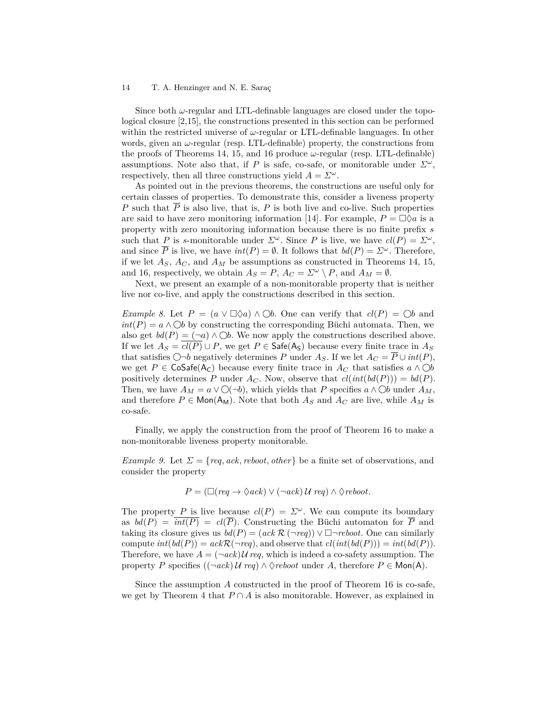Since both *ω*-regular and LTL-definable languages are closed under the topological closure [\[2](#page-14-4)[,15\]](#page-15-10), the constructions presented in this section can be performed within the restricted universe of *ω*-regular or LTL-definable languages. In other words, given an  $\omega$ -regular (resp. LTL-definable) property, the constructions from the proofs of Theorems [14,](#page-11-1) [15,](#page-11-2) and [16](#page-12-0) produce *ω*-regular (resp. LTL-definable) assumptions. Note also that, if *P* is safe, co-safe, or monitorable under  $\Sigma^{\omega}$ , respectively, then all three constructions yield  $A = \Sigma^{\omega}$ .

As pointed out in the previous theorems, the constructions are useful only for certain classes of properties. To demonstrate this, consider a liveness property *P* such that  $\overline{P}$  is also live, that is, *P* is both live and co-live. Such properties are said to have zero monitoring information [\[14\]](#page-15-11). For example,  $P = \Box \Diamond a$  is a property with zero monitoring information because there is no finite prefix *s* such that *P* is *s*-monitorable under  $\Sigma^{\omega}$ . Since *P* is live, we have  $cl(P) = \Sigma^{\omega}$ . and since  $\overline{P}$  is live, we have  $int(P) = \emptyset$ . It follows that  $bd(P) = \Sigma^{\omega}$ . Therefore, if we let  $A_S$ ,  $A_C$ , and  $A_M$  be assumptions as constructed in Theorems [14,](#page-11-1) [15,](#page-11-2) and [16,](#page-12-0) respectively, we obtain  $A_S = P$ ,  $A_C = \Sigma^\omega \setminus P$ , and  $A_M = \emptyset$ .

Next, we present an example of a non-monitorable property that is neither live nor co-live, and apply the constructions described in this section.

*Example 8.* Let  $P = (a \vee \Box \Diamond a) \wedge \Diamond b$ . One can verify that  $cl(P) = \Diamond b$  and  $int(P) = a \wedge \bigcirc b$  by constructing the corresponding Büchi automata. Then, we also get  $bd(P) = (\neg a) \wedge \bigcirc b$ . We now apply the constructions described above. If we let  $A_S = cl(P) ∪ P$ , we get  $P ∈ \mathsf{Safe}(A_S)$  because every finite trace in  $A_S$ that satisfies  $\bigcirc$  *-b* negatively determines *P* under *A<sub>S</sub>*. If we let  $A_C = \overline{P} \cup int(P)$ , we get  $P \in \mathsf{CoSafe}(A_{\mathsf{C}})$  because every finite trace in  $A_C$  that satisfies  $a \wedge \bigcirc b$ positively determines *P* under  $A_C$ . Now, observe that  $cl(int(bd(P))) = bd(P)$ . Then, we have  $A_M = a \vee \bigcirc (\neg b)$ , which yields that *P* specifies  $a \wedge \bigcirc b$  under  $A_M$ , and therefore  $P \in \text{Mon}(A_M)$ . Note that both  $A_S$  and  $A_C$  are live, while  $A_M$  is co-safe.

Finally, we apply the construction from the proof of Theorem [16](#page-12-0) to make a non-monitorable liveness property monitorable.

*Example 9.* Let  $\Sigma = \{req, ack, reboot, other\}$  be a finite set of observations, and consider the property

$$
P = (\Box (req \rightarrow \Diamond ack) \lor (\neg ack) \lor (req) \land \Diamond reboot.
$$

The property *P* is live because  $cl(P) = \Sigma^{\omega}$ . We can compute its boundary as  $bd(P) = \overline{int(P)} = cl(\overline{P})$ . Constructing the Büchi automaton for  $\overline{P}$  and taking its closure gives us  $bd(P) = (ack \mathcal{R}(\neg \textit{req}) ) \vee \Box \neg \textit{reboot}$ . One can similarly compute  $int(bd(P)) = ack\mathcal{R}(\neg req)$ , and observe that  $cl(int(bd(P))) = int(bd(P)).$ Therefore, we have  $A = (\neg \textit{ack}) \mathcal{U} \textit{req}$ , which is indeed a co-safety assumption. The property *P* specifies  $((\neg \textit{ack}) \cup \textit{req}) \land \Diamond \textit{reboot}$  under *A*, therefore  $P \in \textsf{Mon}(A)$ .

Since the assumption *A* constructed in the proof of Theorem [16](#page-12-0) is co-safe, we get by Theorem [4](#page-6-1) that  $P \cap A$  is also monitorable. However, as explained in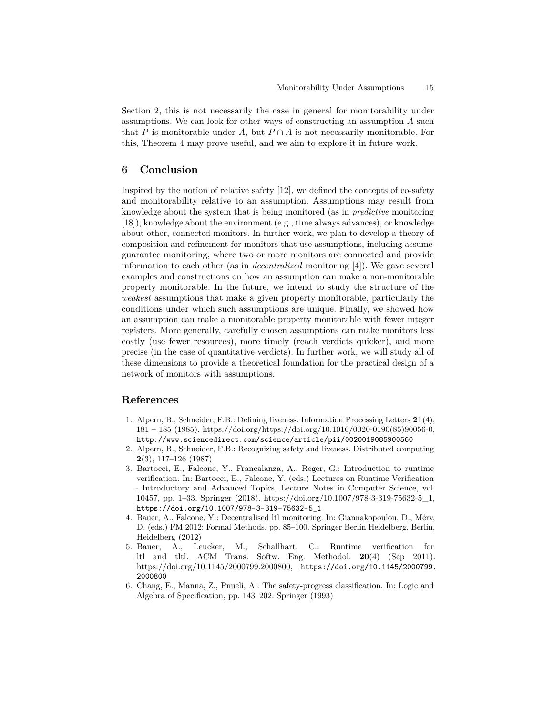Section [2,](#page-2-0) this is not necessarily the case in general for monitorability under assumptions. We can look for other ways of constructing an assumption *A* such that *P* is monitorable under *A*, but  $P \cap A$  is not necessarily monitorable. For this, Theorem [4](#page-6-1) may prove useful, and we aim to explore it in future work.

# **6 Conclusion**

Inspired by the notion of relative safety [\[12\]](#page-15-6), we defined the concepts of co-safety and monitorability relative to an assumption. Assumptions may result from knowledge about the system that is being monitored (as in *predictive* monitoring [\[18\]](#page-15-3)), knowledge about the environment (e.g., time always advances), or knowledge about other, connected monitors. In further work, we plan to develop a theory of composition and refinement for monitors that use assumptions, including assumeguarantee monitoring, where two or more monitors are connected and provide information to each other (as in *decentralized* monitoring [\[4\]](#page-14-5)). We gave several examples and constructions on how an assumption can make a non-monitorable property monitorable. In the future, we intend to study the structure of the *weakest* assumptions that make a given property monitorable, particularly the conditions under which such assumptions are unique. Finally, we showed how an assumption can make a monitorable property monitorable with fewer integer registers. More generally, carefully chosen assumptions can make monitors less costly (use fewer resources), more timely (reach verdicts quicker), and more precise (in the case of quantitative verdicts). In further work, we will study all of these dimensions to provide a theoretical foundation for the practical design of a network of monitors with assumptions.

# **References**

- <span id="page-14-2"></span>1. Alpern, B., Schneider, F.B.: Defining liveness. Information Processing Letters **21**(4), 181 – 185 (1985). [https://doi.org/https://doi.org/10.1016/0020-0190\(85\)90056-0,](https://doi.org/https://doi.org/10.1016/0020-0190(85)90056-0) <http://www.sciencedirect.com/science/article/pii/0020019085900560>
- <span id="page-14-4"></span>2. Alpern, B., Schneider, F.B.: Recognizing safety and liveness. Distributed computing **2**(3), 117–126 (1987)
- <span id="page-14-0"></span>3. Bartocci, E., Falcone, Y., Francalanza, A., Reger, G.: Introduction to runtime verification. In: Bartocci, E., Falcone, Y. (eds.) Lectures on Runtime Verification - Introductory and Advanced Topics, Lecture Notes in Computer Science, vol. 10457, pp. 1–33. Springer (2018). [https://doi.org/10.1007/978-3-319-75632-5\\_1,](https://doi.org/10.1007/978-3-319-75632-5_1) [https://doi.org/10.1007/978-3-319-75632-5\\_1](https://doi.org/10.1007/978-3-319-75632-5_1)
- <span id="page-14-5"></span>4. Bauer, A., Falcone, Y.: Decentralised ltl monitoring. In: Giannakopoulou, D., Méry, D. (eds.) FM 2012: Formal Methods. pp. 85–100. Springer Berlin Heidelberg, Berlin, Heidelberg (2012)
- <span id="page-14-1"></span>5. Bauer, A., Leucker, M., Schallhart, C.: Runtime verification for ltl and tltl. ACM Trans. Softw. Eng. Methodol. **20**(4) (Sep 2011). [https://doi.org/10.1145/2000799.2000800,](https://doi.org/10.1145/2000799.2000800) [https://doi.org/10.1145/2000799.](https://doi.org/10.1145/2000799.2000800) [2000800](https://doi.org/10.1145/2000799.2000800)
- <span id="page-14-3"></span>6. Chang, E., Manna, Z., Pnueli, A.: The safety-progress classification. In: Logic and Algebra of Specification, pp. 143–202. Springer (1993)